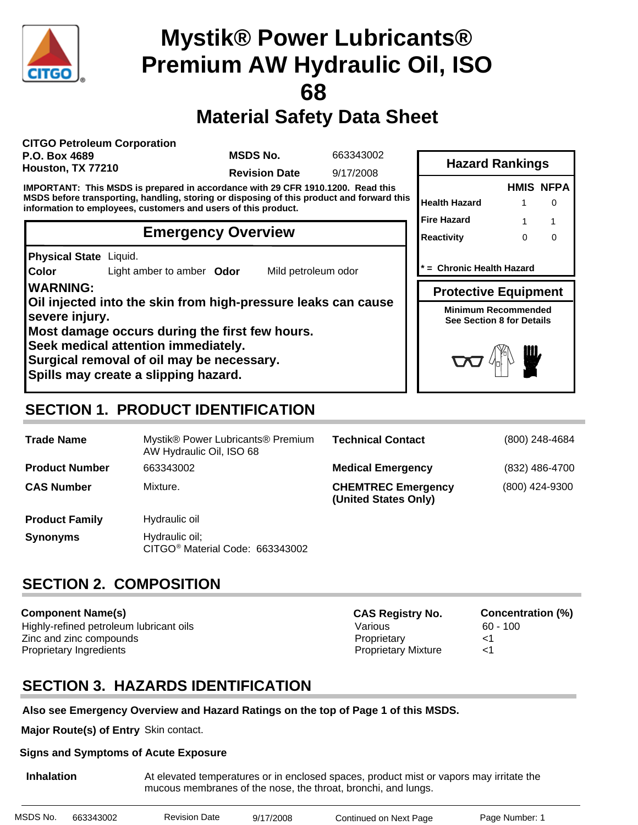

# **Material Safety Data Sheet**

**CITGO Petroleum Corporation P.O. Box 4689 Houston, TX 77210**

**MSDS No.**

663343002

**Revision Date** 9/17/2008

**IMPORTANT: This MSDS is prepared in accordance with 29 CFR 1910.1200. Read this MSDS before transporting, handling, storing or disposing of this product and forward this information to employees, customers and users of this product.**

### **Emergency Overview**

**Physical State** Liquid.

**Color** Light amber to amber **Odor** Mild petroleum odor

**WARNING: Oil injected into the skin from high-pressure leaks can cause severe injury. Most damage occurs during the first few hours. Seek medical attention immediately. Surgical removal of oil may be necessary.**

**Spills may create a slipping hazard.**

# **Hazard Rankings**

|                      |   | <b>HMIS NFPA</b> |
|----------------------|---|------------------|
| <b>Health Hazard</b> |   |                  |
| <b>Fire Hazard</b>   |   |                  |
| <b>Reactivity</b>    | Ω | ∩                |
|                      |   |                  |

**\* = Chronic Health Hazard**

**Protective Equipment**

**Minimum Recommended See Section 8 for Details**



# **SECTION 1. PRODUCT IDENTIFICATION**

| <b>Trade Name</b>     | Mystik® Power Lubricants® Premium<br>AW Hydraulic Oil, ISO 68 | <b>Technical Contact</b>                          | (800) 248-4684 |
|-----------------------|---------------------------------------------------------------|---------------------------------------------------|----------------|
| <b>Product Number</b> | 663343002                                                     | <b>Medical Emergency</b>                          | (832) 486-4700 |
| <b>CAS Number</b>     | Mixture.                                                      | <b>CHEMTREC Emergency</b><br>(United States Only) | (800) 424-9300 |
| <b>Product Family</b> | Hydraulic oil                                                 |                                                   |                |
| <b>Synonyms</b>       | Hydraulic oil;<br>CITGO <sup>®</sup> Material Code: 663343002 |                                                   |                |

# **SECTION 2. COMPOSITION**

**Component Name(s)** Highly-refined petroleum lubricant oils **Various** Various 60 - 100 Zinc and zinc compounds Proprietary <1 Proprietary Ingredients <1

**CAS Registry No. Concentration (%)**

# **SECTION 3. HAZARDS IDENTIFICATION**

#### **Also see Emergency Overview and Hazard Ratings on the top of Page 1 of this MSDS.**

**Major Route(s) of Entry** Skin contact.

#### **Signs and Symptoms of Acute Exposure**

**Inhalation** At elevated temperatures or in enclosed spaces, product mist or vapors may irritate the mucous membranes of the nose, the throat, bronchi, and lungs.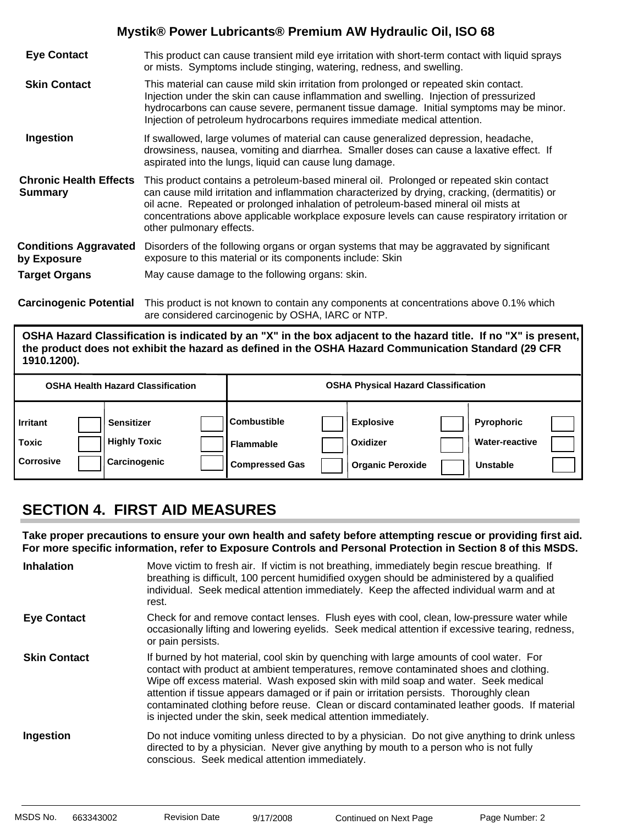| <b>Eye Contact</b>                              | This product can cause transient mild eye irritation with short-term contact with liquid sprays<br>or mists. Symptoms include stinging, watering, redness, and swelling.                                                                                                                                                                                                                                    |
|-------------------------------------------------|-------------------------------------------------------------------------------------------------------------------------------------------------------------------------------------------------------------------------------------------------------------------------------------------------------------------------------------------------------------------------------------------------------------|
| <b>Skin Contact</b>                             | This material can cause mild skin irritation from prolonged or repeated skin contact.<br>Injection under the skin can cause inflammation and swelling. Injection of pressurized<br>hydrocarbons can cause severe, permanent tissue damage. Initial symptoms may be minor.<br>Injection of petroleum hydrocarbons requires immediate medical attention.                                                      |
| Ingestion                                       | If swallowed, large volumes of material can cause generalized depression, headache,<br>drowsiness, nausea, vomiting and diarrhea. Smaller doses can cause a laxative effect. If<br>aspirated into the lungs, liquid can cause lung damage.                                                                                                                                                                  |
| <b>Chronic Health Effects</b><br><b>Summary</b> | This product contains a petroleum-based mineral oil. Prolonged or repeated skin contact<br>can cause mild irritation and inflammation characterized by drying, cracking, (dermatitis) or<br>oil acne. Repeated or prolonged inhalation of petroleum-based mineral oil mists at<br>concentrations above applicable workplace exposure levels can cause respiratory irritation or<br>other pulmonary effects. |
| <b>Conditions Aggravated</b><br>by Exposure     | Disorders of the following organs or organ systems that may be aggravated by significant<br>exposure to this material or its components include: Skin                                                                                                                                                                                                                                                       |
| <b>Target Organs</b>                            | May cause damage to the following organs: skin.                                                                                                                                                                                                                                                                                                                                                             |
|                                                 | Azazlaz azalz Betzatlek Thiosokot oti sokkosokosokulus sosososokost organizmatis on aktore A 40/ – Ilik                                                                                                                                                                                                                                                                                                     |

**Carcinogenic Potential** This product is not known to contain any components at concentrations above 0.1% which are considered carcinogenic by OSHA, IARC or NTP.

**OSHA Hazard Classification is indicated by an "X" in the box adjacent to the hazard title. If no "X" is present, the product does not exhibit the hazard as defined in the OSHA Hazard Communication Standard (29 CFR 1910.1200).**

|                                              | <b>OSHA Health Hazard Classification</b>                 |                                                                 | <b>OSHA Physical Hazard Classification</b>              |                                                               |  |
|----------------------------------------------|----------------------------------------------------------|-----------------------------------------------------------------|---------------------------------------------------------|---------------------------------------------------------------|--|
| <b>Irritant</b><br>Toxic<br><b>Corrosive</b> | <b>Sensitizer</b><br><b>Highly Toxic</b><br>Carcinogenic | <b>Combustible</b><br><b>Flammable</b><br><b>Compressed Gas</b> | <b>Explosive</b><br>Oxidizer<br><b>Organic Peroxide</b> | <b>Pyrophoric</b><br><b>Water-reactive</b><br><b>Unstable</b> |  |

# **SECTION 4. FIRST AID MEASURES**

**Take proper precautions to ensure your own health and safety before attempting rescue or providing first aid. For more specific information, refer to Exposure Controls and Personal Protection in Section 8 of this MSDS.**

| <b>Inhalation</b>   | Move victim to fresh air. If victim is not breathing, immediately begin rescue breathing. If<br>breathing is difficult, 100 percent humidified oxygen should be administered by a qualified<br>individual. Seek medical attention immediately. Keep the affected individual warm and at<br>rest.                                                                                                                                                                                                                                     |
|---------------------|--------------------------------------------------------------------------------------------------------------------------------------------------------------------------------------------------------------------------------------------------------------------------------------------------------------------------------------------------------------------------------------------------------------------------------------------------------------------------------------------------------------------------------------|
| <b>Eye Contact</b>  | Check for and remove contact lenses. Flush eyes with cool, clean, low-pressure water while<br>occasionally lifting and lowering eyelids. Seek medical attention if excessive tearing, redness,<br>or pain persists.                                                                                                                                                                                                                                                                                                                  |
| <b>Skin Contact</b> | If burned by hot material, cool skin by quenching with large amounts of cool water. For<br>contact with product at ambient temperatures, remove contaminated shoes and clothing.<br>Wipe off excess material. Wash exposed skin with mild soap and water. Seek medical<br>attention if tissue appears damaged or if pain or irritation persists. Thoroughly clean<br>contaminated clothing before reuse. Clean or discard contaminated leather goods. If material<br>is injected under the skin, seek medical attention immediately. |
| Ingestion           | Do not induce vomiting unless directed to by a physician. Do not give anything to drink unless<br>directed to by a physician. Never give anything by mouth to a person who is not fully<br>conscious. Seek medical attention immediately.                                                                                                                                                                                                                                                                                            |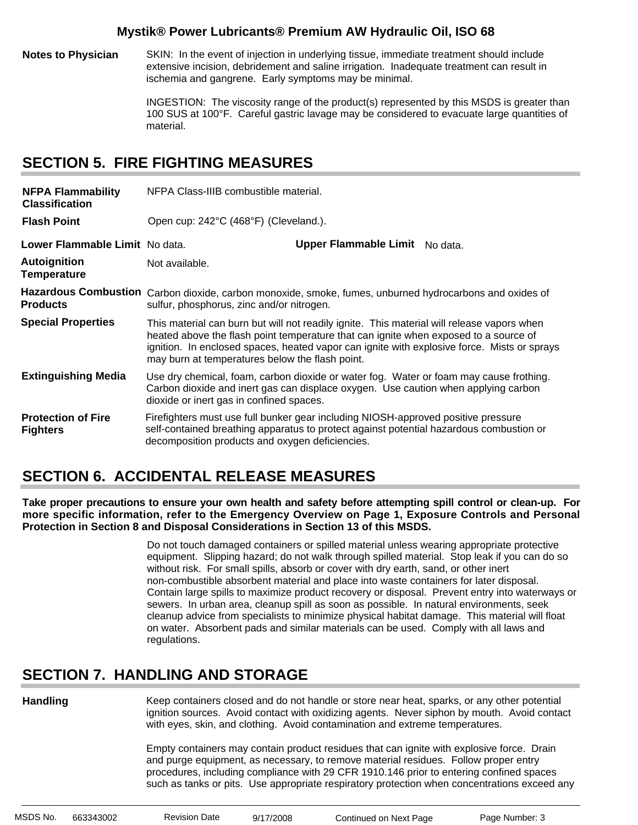**Notes to Physician** SKIN: In the event of injection in underlying tissue, immediate treatment should include extensive incision, debridement and saline irrigation. Inadequate treatment can result in ischemia and gangrene. Early symptoms may be minimal.

> INGESTION: The viscosity range of the product(s) represented by this MSDS is greater than 100 SUS at 100°F. Careful gastric lavage may be considered to evacuate large quantities of material.

## **SECTION 5. FIRE FIGHTING MEASURES**

| <b>NFPA Flammability</b><br><b>Classification</b> | NFPA Class-IIIB combustible material.                                                                                                                |                                                                                                                                                                                                                                                                                   |  |  |
|---------------------------------------------------|------------------------------------------------------------------------------------------------------------------------------------------------------|-----------------------------------------------------------------------------------------------------------------------------------------------------------------------------------------------------------------------------------------------------------------------------------|--|--|
| <b>Flash Point</b>                                | Open cup: 242°C (468°F) (Cleveland.).                                                                                                                |                                                                                                                                                                                                                                                                                   |  |  |
| Lower Flammable Limit No data.                    |                                                                                                                                                      | Upper Flammable Limit No data.                                                                                                                                                                                                                                                    |  |  |
| <b>Autoignition</b><br><b>Temperature</b>         | Not available.                                                                                                                                       |                                                                                                                                                                                                                                                                                   |  |  |
| <b>Products</b>                                   | Hazardous Combustion Carbon dioxide, carbon monoxide, smoke, fumes, unburned hydrocarbons and oxides of<br>sulfur, phosphorus, zinc and/or nitrogen. |                                                                                                                                                                                                                                                                                   |  |  |
| <b>Special Properties</b>                         | may burn at temperatures below the flash point.                                                                                                      | This material can burn but will not readily ignite. This material will release vapors when<br>heated above the flash point temperature that can ignite when exposed to a source of<br>ignition. In enclosed spaces, heated vapor can ignite with explosive force. Mists or sprays |  |  |
| <b>Extinguishing Media</b>                        | dioxide or inert gas in confined spaces.                                                                                                             | Use dry chemical, foam, carbon dioxide or water fog. Water or foam may cause frothing.<br>Carbon dioxide and inert gas can displace oxygen. Use caution when applying carbon                                                                                                      |  |  |
| <b>Protection of Fire</b><br><b>Fighters</b>      | decomposition products and oxygen deficiencies.                                                                                                      | Firefighters must use full bunker gear including NIOSH-approved positive pressure<br>self-contained breathing apparatus to protect against potential hazardous combustion or                                                                                                      |  |  |

# **SECTION 6. ACCIDENTAL RELEASE MEASURES**

**Take proper precautions to ensure your own health and safety before attempting spill control or clean-up. For more specific information, refer to the Emergency Overview on Page 1, Exposure Controls and Personal Protection in Section 8 and Disposal Considerations in Section 13 of this MSDS.**

> Do not touch damaged containers or spilled material unless wearing appropriate protective equipment. Slipping hazard; do not walk through spilled material. Stop leak if you can do so without risk. For small spills, absorb or cover with dry earth, sand, or other inert non-combustible absorbent material and place into waste containers for later disposal. Contain large spills to maximize product recovery or disposal. Prevent entry into waterways or sewers. In urban area, cleanup spill as soon as possible. In natural environments, seek cleanup advice from specialists to minimize physical habitat damage. This material will float on water. Absorbent pads and similar materials can be used. Comply with all laws and regulations.

# **SECTION 7. HANDLING AND STORAGE**

**Handling**

Keep containers closed and do not handle or store near heat, sparks, or any other potential ignition sources. Avoid contact with oxidizing agents. Never siphon by mouth. Avoid contact with eyes, skin, and clothing. Avoid contamination and extreme temperatures.

Empty containers may contain product residues that can ignite with explosive force. Drain and purge equipment, as necessary, to remove material residues. Follow proper entry procedures, including compliance with 29 CFR 1910.146 prior to entering confined spaces such as tanks or pits. Use appropriate respiratory protection when concentrations exceed any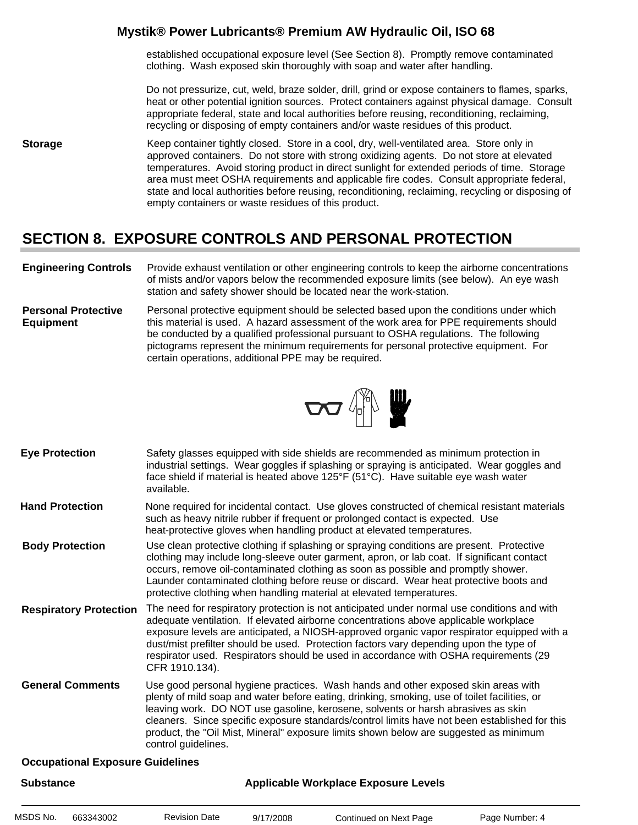established occupational exposure level (See Section 8). Promptly remove contaminated clothing. Wash exposed skin thoroughly with soap and water after handling.

Do not pressurize, cut, weld, braze solder, drill, grind or expose containers to flames, sparks, heat or other potential ignition sources. Protect containers against physical damage. Consult appropriate federal, state and local authorities before reusing, reconditioning, reclaiming, recycling or disposing of empty containers and/or waste residues of this product.

**Storage** Keep container tightly closed. Store in a cool, dry, well-ventilated area. Store only in approved containers. Do not store with strong oxidizing agents. Do not store at elevated temperatures. Avoid storing product in direct sunlight for extended periods of time. Storage area must meet OSHA requirements and applicable fire codes. Consult appropriate federal, state and local authorities before reusing, reconditioning, reclaiming, recycling or disposing of empty containers or waste residues of this product.

# **SECTION 8. EXPOSURE CONTROLS AND PERSONAL PROTECTION**

- **Engineering Controls** Provide exhaust ventilation or other engineering controls to keep the airborne concentrations of mists and/or vapors below the recommended exposure limits (see below). An eye wash station and safety shower should be located near the work-station.
- **Personal Protective Equipment** Personal protective equipment should be selected based upon the conditions under which this material is used. A hazard assessment of the work area for PPE requirements should be conducted by a qualified professional pursuant to OSHA regulations. The following pictograms represent the minimum requirements for personal protective equipment. For certain operations, additional PPE may be required.



- Safety glasses equipped with side shields are recommended as minimum protection in industrial settings. Wear goggles if splashing or spraying is anticipated. Wear goggles and face shield if material is heated above 125°F (51°C). Have suitable eye wash water available. **Eye Protection**
- None required for incidental contact. Use gloves constructed of chemical resistant materials such as heavy nitrile rubber if frequent or prolonged contact is expected. Use heat-protective gloves when handling product at elevated temperatures. **Hand Protection**
- Use clean protective clothing if splashing or spraying conditions are present. Protective clothing may include long-sleeve outer garment, apron, or lab coat. If significant contact occurs, remove oil-contaminated clothing as soon as possible and promptly shower. Launder contaminated clothing before reuse or discard. Wear heat protective boots and protective clothing when handling material at elevated temperatures. **Body Protection**
- The need for respiratory protection is not anticipated under normal use conditions and with adequate ventilation. If elevated airborne concentrations above applicable workplace exposure levels are anticipated, a NIOSH-approved organic vapor respirator equipped with a dust/mist prefilter should be used. Protection factors vary depending upon the type of respirator used. Respirators should be used in accordance with OSHA requirements (29 CFR 1910.134). **Respiratory Protection**
- Use good personal hygiene practices. Wash hands and other exposed skin areas with plenty of mild soap and water before eating, drinking, smoking, use of toilet facilities, or leaving work. DO NOT use gasoline, kerosene, solvents or harsh abrasives as skin cleaners. Since specific exposure standards/control limits have not been established for this product, the "Oil Mist, Mineral" exposure limits shown below are suggested as minimum control guidelines. **General Comments**

#### **Occupational Exposure Guidelines**

| <b>Substance</b> |           |                      | <b>Applicable Workplace Exposure Levels</b> |                        |                |  |
|------------------|-----------|----------------------|---------------------------------------------|------------------------|----------------|--|
| MSDS No.         | 663343002 | <b>Revision Date</b> | 9/17/2008                                   | Continued on Next Page | Page Number: 4 |  |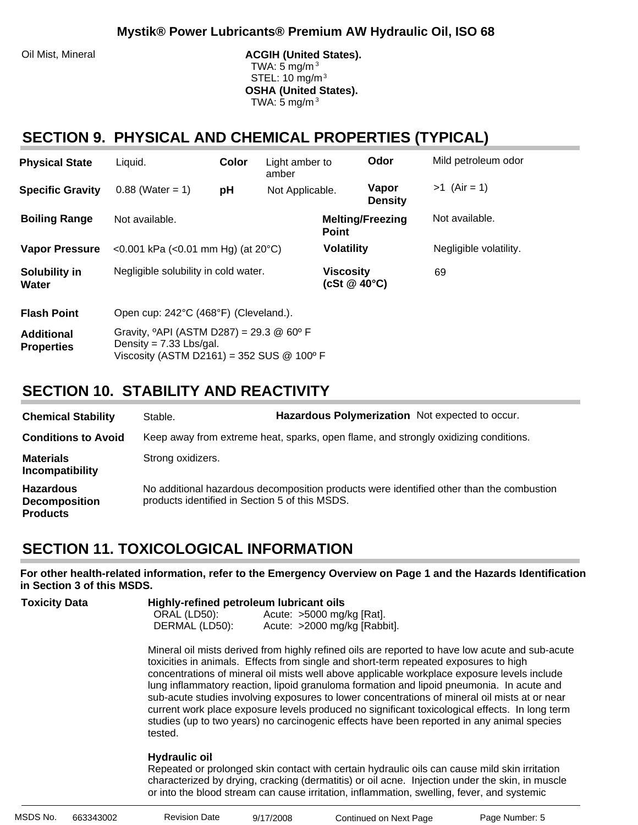Oil Mist, Mineral **ACGIH (United States).** ACGIH (United States). TWA: 5 mg/m $3$  STEL: 10 mg/m3 **OSHA (United States).** TWA:  $5 \text{ mg/m}^3$ 

# **SECTION 9. PHYSICAL AND CHEMICAL PROPERTIES (TYPICAL)**

| <b>Physical State</b>                  | Liquid.                                                                                                                                | Color | Light amber to<br>amber |                                        | Odor                    | Mild petroleum odor    |
|----------------------------------------|----------------------------------------------------------------------------------------------------------------------------------------|-------|-------------------------|----------------------------------------|-------------------------|------------------------|
| <b>Specific Gravity</b>                | $0.88$ (Water = 1)                                                                                                                     | рH    | Not Applicable.         |                                        | Vapor<br><b>Density</b> | $>1$ (Air = 1)         |
| <b>Boiling Range</b>                   | Not available.                                                                                                                         |       |                         | <b>Point</b>                           | <b>Melting/Freezing</b> | Not available.         |
| <b>Vapor Pressure</b>                  | <0.001 kPa (<0.01 mm Hg) (at $20^{\circ}$ C)                                                                                           |       |                         | <b>Volatility</b>                      |                         | Negligible volatility. |
| Solubility in<br>Water                 | Negligible solubility in cold water.                                                                                                   |       |                         | <b>Viscosity</b><br>(cSt $@$ 40 $°C$ ) |                         | 69                     |
| <b>Flash Point</b>                     | Open cup: 242°C (468°F) (Cleveland.).                                                                                                  |       |                         |                                        |                         |                        |
| <b>Additional</b><br><b>Properties</b> | Gravity, $^{\circ}$ API (ASTM D287) = 29.3 @ 60 $^{\circ}$ F<br>Density = $7.33$ Lbs/gal.<br>Viscosity (ASTM D2161) = 352 SUS @ 100º F |       |                         |                                        |                         |                        |

# **SECTION 10. STABILITY AND REACTIVITY**

| <b>Chemical Stability</b>                                   | Stable.                                        | Hazardous Polymerization Not expected to occur.                                     |                                                                                          |
|-------------------------------------------------------------|------------------------------------------------|-------------------------------------------------------------------------------------|------------------------------------------------------------------------------------------|
| <b>Conditions to Avoid</b>                                  |                                                | Keep away from extreme heat, sparks, open flame, and strongly oxidizing conditions. |                                                                                          |
| <b>Materials</b><br>Incompatibility                         | Strong oxidizers.                              |                                                                                     |                                                                                          |
| <b>Hazardous</b><br><b>Decomposition</b><br><b>Products</b> | products identified in Section 5 of this MSDS. |                                                                                     | No additional hazardous decomposition products were identified other than the combustion |

# **SECTION 11. TOXICOLOGICAL INFORMATION**

**For other health-related information, refer to the Emergency Overview on Page 1 and the Hazards Identification in Section 3 of this MSDS.**

| <b>Toxicity Data</b> |                | Highly-refined petroleum lubricant oils |  |  |  |  |
|----------------------|----------------|-----------------------------------------|--|--|--|--|
|                      | ORAL (LD50):   | Acute: $>5000$ mg/kg [Rat].             |  |  |  |  |
|                      | DERMAL (LD50): | Acute: >2000 mg/kg [Rabbit].            |  |  |  |  |

Mineral oil mists derived from highly refined oils are reported to have low acute and sub-acute toxicities in animals. Effects from single and short-term repeated exposures to high concentrations of mineral oil mists well above applicable workplace exposure levels include lung inflammatory reaction, lipoid granuloma formation and lipoid pneumonia. In acute and sub-acute studies involving exposures to lower concentrations of mineral oil mists at or near current work place exposure levels produced no significant toxicological effects. In long term studies (up to two years) no carcinogenic effects have been reported in any animal species tested.

#### **Hydraulic oil**:

Repeated or prolonged skin contact with certain hydraulic oils can cause mild skin irritation characterized by drying, cracking (dermatitis) or oil acne. Injection under the skin, in muscle or into the blood stream can cause irritation, inflammation, swelling, fever, and systemic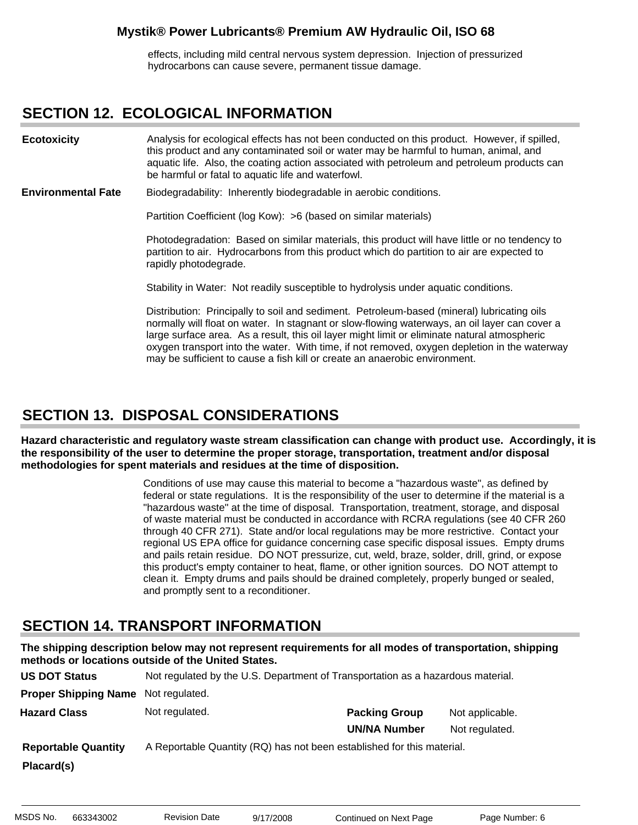effects, including mild central nervous system depression. Injection of pressurized hydrocarbons can cause severe, permanent tissue damage.

### **SECTION 12. ECOLOGICAL INFORMATION**

Analysis for ecological effects has not been conducted on this product. However, if spilled, this product and any contaminated soil or water may be harmful to human, animal, and aquatic life. Also, the coating action associated with petroleum and petroleum products can be harmful or fatal to aquatic life and waterfowl. **Ecotoxicity**

Biodegradability: Inherently biodegradable in aerobic conditions. **Environmental Fate**

Partition Coefficient (log Kow): >6 (based on similar materials)

Photodegradation: Based on similar materials, this product will have little or no tendency to partition to air. Hydrocarbons from this product which do partition to air are expected to rapidly photodegrade.

Stability in Water: Not readily susceptible to hydrolysis under aquatic conditions.

Distribution: Principally to soil and sediment. Petroleum-based (mineral) lubricating oils normally will float on water. In stagnant or slow-flowing waterways, an oil layer can cover a large surface area. As a result, this oil layer might limit or eliminate natural atmospheric oxygen transport into the water. With time, if not removed, oxygen depletion in the waterway may be sufficient to cause a fish kill or create an anaerobic environment.

### **SECTION 13. DISPOSAL CONSIDERATIONS**

**Hazard characteristic and regulatory waste stream classification can change with product use. Accordingly, it is the responsibility of the user to determine the proper storage, transportation, treatment and/or disposal methodologies for spent materials and residues at the time of disposition.**

> Conditions of use may cause this material to become a "hazardous waste", as defined by federal or state regulations. It is the responsibility of the user to determine if the material is a "hazardous waste" at the time of disposal. Transportation, treatment, storage, and disposal of waste material must be conducted in accordance with RCRA regulations (see 40 CFR 260 through 40 CFR 271). State and/or local regulations may be more restrictive. Contact your regional US EPA office for guidance concerning case specific disposal issues. Empty drums and pails retain residue. DO NOT pressurize, cut, weld, braze, solder, drill, grind, or expose this product's empty container to heat, flame, or other ignition sources. DO NOT attempt to clean it. Empty drums and pails should be drained completely, properly bunged or sealed, and promptly sent to a reconditioner.

### **SECTION 14. TRANSPORT INFORMATION**

**The shipping description below may not represent requirements for all modes of transportation, shipping methods or locations outside of the United States.**

| <b>US DOT Status</b>        | Not regulated by the U.S. Department of Transportation as a hazardous material. |                      |                 |
|-----------------------------|---------------------------------------------------------------------------------|----------------------|-----------------|
| <b>Proper Shipping Name</b> | Not regulated.                                                                  |                      |                 |
| <b>Hazard Class</b>         | Not regulated.                                                                  | <b>Packing Group</b> | Not applicable. |
|                             |                                                                                 | <b>UN/NA Number</b>  | Not regulated.  |
| <b>Reportable Quantity</b>  | A Reportable Quantity (RQ) has not been established for this material.          |                      |                 |
| Placard(s)                  |                                                                                 |                      |                 |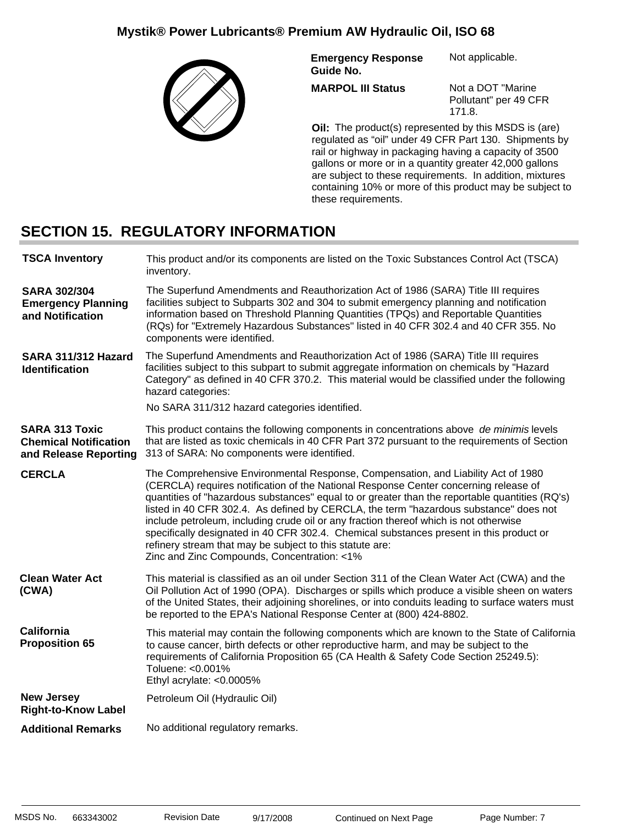

**Emergency Response Guide No.** Not applicable.

**MARPOL III Status**

Not a DOT "Marine Pollutant" per 49 CFR 171.8.

**Oil:** The product(s) represented by this MSDS is (are) regulated as "oil" under 49 CFR Part 130. Shipments by rail or highway in packaging having a capacity of 3500 gallons or more or in a quantity greater 42,000 gallons are subject to these requirements. In addition, mixtures containing 10% or more of this product may be subject to these requirements.

# **SECTION 15. REGULATORY INFORMATION**

| <b>TSCA Inventory</b>                                                          | This product and/or its components are listed on the Toxic Substances Control Act (TSCA)<br>inventory.                                                                                                                                                                                                                                                                                                                                                                                                                                                                                                                                                              |
|--------------------------------------------------------------------------------|---------------------------------------------------------------------------------------------------------------------------------------------------------------------------------------------------------------------------------------------------------------------------------------------------------------------------------------------------------------------------------------------------------------------------------------------------------------------------------------------------------------------------------------------------------------------------------------------------------------------------------------------------------------------|
| <b>SARA 302/304</b><br><b>Emergency Planning</b><br>and Notification           | The Superfund Amendments and Reauthorization Act of 1986 (SARA) Title III requires<br>facilities subject to Subparts 302 and 304 to submit emergency planning and notification<br>information based on Threshold Planning Quantities (TPQs) and Reportable Quantities<br>(RQs) for "Extremely Hazardous Substances" listed in 40 CFR 302.4 and 40 CFR 355. No<br>components were identified.                                                                                                                                                                                                                                                                        |
| SARA 311/312 Hazard<br><b>Identification</b>                                   | The Superfund Amendments and Reauthorization Act of 1986 (SARA) Title III requires<br>facilities subject to this subpart to submit aggregate information on chemicals by "Hazard<br>Category" as defined in 40 CFR 370.2. This material would be classified under the following<br>hazard categories:<br>No SARA 311/312 hazard categories identified.                                                                                                                                                                                                                                                                                                              |
| <b>SARA 313 Toxic</b><br><b>Chemical Notification</b><br>and Release Reporting | This product contains the following components in concentrations above de minimis levels<br>that are listed as toxic chemicals in 40 CFR Part 372 pursuant to the requirements of Section<br>313 of SARA: No components were identified.                                                                                                                                                                                                                                                                                                                                                                                                                            |
| <b>CERCLA</b>                                                                  | The Comprehensive Environmental Response, Compensation, and Liability Act of 1980<br>(CERCLA) requires notification of the National Response Center concerning release of<br>quantities of "hazardous substances" equal to or greater than the reportable quantities (RQ's)<br>listed in 40 CFR 302.4. As defined by CERCLA, the term "hazardous substance" does not<br>include petroleum, including crude oil or any fraction thereof which is not otherwise<br>specifically designated in 40 CFR 302.4. Chemical substances present in this product or<br>refinery stream that may be subject to this statute are:<br>Zinc and Zinc Compounds, Concentration: <1% |
| <b>Clean Water Act</b><br>(CWA)                                                | This material is classified as an oil under Section 311 of the Clean Water Act (CWA) and the<br>Oil Pollution Act of 1990 (OPA). Discharges or spills which produce a visible sheen on waters<br>of the United States, their adjoining shorelines, or into conduits leading to surface waters must<br>be reported to the EPA's National Response Center at (800) 424-8802.                                                                                                                                                                                                                                                                                          |
| <b>California</b><br><b>Proposition 65</b>                                     | This material may contain the following components which are known to the State of California<br>to cause cancer, birth defects or other reproductive harm, and may be subject to the<br>requirements of California Proposition 65 (CA Health & Safety Code Section 25249.5):<br>Toluene: <0.001%<br>Ethyl acrylate: <0.0005%                                                                                                                                                                                                                                                                                                                                       |
| <b>New Jersey</b><br><b>Right-to-Know Label</b>                                | Petroleum Oil (Hydraulic Oil)                                                                                                                                                                                                                                                                                                                                                                                                                                                                                                                                                                                                                                       |
| <b>Additional Remarks</b>                                                      | No additional regulatory remarks.                                                                                                                                                                                                                                                                                                                                                                                                                                                                                                                                                                                                                                   |